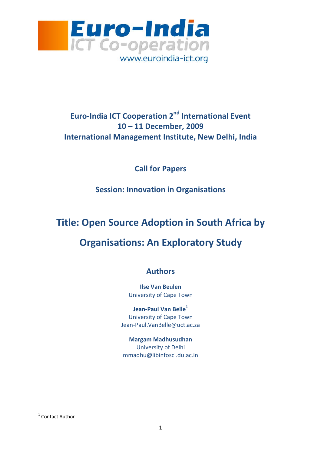

### Euro-India ICT Cooperation 2<sup>nd</sup> International Event 10 – 11 December, 2009 International Management Institute, New Delhi, India

Call for Papers

Session: Innovation in Organisations

# Title: Open Source Adoption in South Africa by

## Organisations: An Exploratory Study

### Authors

Ilse Van Beulen University of Cape Town

Jean-Paul Van Belle<sup>1</sup> University of Cape Town Jean-Paul.VanBelle@uct.ac.za

Margam Madhusudhan University of Delhi mmadhu@libinfosci.du.ac.in

l

<sup>&</sup>lt;sup>1</sup> Contact Author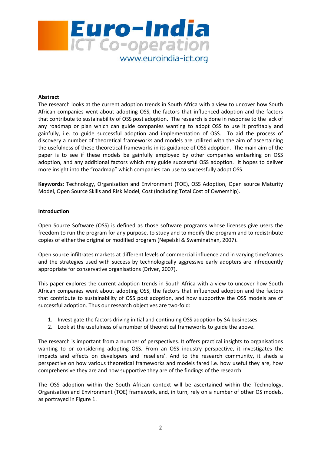

#### Abstract

The research looks at the current adoption trends in South Africa with a view to uncover how South African companies went about adopting OSS, the factors that influenced adoption and the factors that contribute to sustainability of OSS post adoption. The research is done in response to the lack of any roadmap or plan which can guide companies wanting to adopt OSS to use it profitably and gainfully, i.e. to guide successful adoption and implementation of OSS. To aid the process of discovery a number of theoretical frameworks and models are utilized with the aim of ascertaining the usefulness of these theoretical frameworks in its guidance of OSS adoption. The main aim of the paper is to see if these models be gainfully employed by other companies embarking on OSS adoption, and any additional factors which may guide successful OSS adoption. It hopes to deliver more insight into the "roadmap" which companies can use to successfully adopt OSS.

Keywords: Technology, Organisation and Environment (TOE), OSS Adoption, Open source Maturity Model, Open Source Skills and Risk Model, Cost (including Total Cost of Ownership).

#### Introduction

Open Source Software (OSS) is defined as those software programs whose licenses give users the freedom to run the program for any purpose, to study and to modify the program and to redistribute copies of either the original or modified program (Nepelski & Swaminathan, 2007).

Open source infiltrates markets at different levels of commercial influence and in varying timeframes and the strategies used with success by technologically aggressive early adopters are infrequently appropriate for conservative organisations (Driver, 2007).

This paper explores the current adoption trends in South Africa with a view to uncover how South African companies went about adopting OSS, the factors that influenced adoption and the factors that contribute to sustainability of OSS post adoption, and how supportive the OSS models are of successful adoption. Thus our research objectives are two-fold:

- 1. Investigate the factors driving initial and continuing OSS adoption by SA businesses.
- 2. Look at the usefulness of a number of theoretical frameworks to guide the above.

The research is important from a number of perspectives. It offers practical insights to organisations wanting to or considering adopting OSS. From an OSS industry perspective, it investigates the impacts and effects on developers and 'resellers'. And to the research community, it sheds a perspective on how various theoretical frameworks and models fared i.e. how useful they are, how comprehensive they are and how supportive they are of the findings of the research.

The OSS adoption within the South African context will be ascertained within the Technology, Organisation and Environment (TOE) framework, and, in turn, rely on a number of other OS models, as portrayed in Figure 1.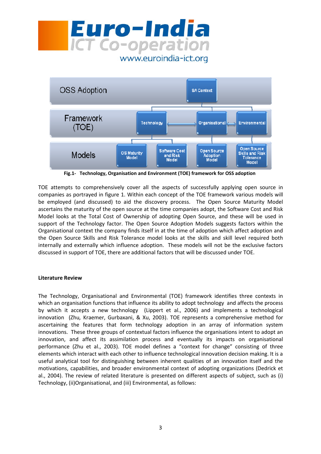



Fig.1- Technology, Organisation and Environment (TOE) framework for OSS adoption

TOE attempts to comprehensively cover all the aspects of successfully applying open source in companies as portrayed in figure 1. Within each concept of the TOE framework various models will be employed (and discussed) to aid the discovery process. The Open Source Maturity Model ascertains the maturity of the open source at the time companies adopt, the Software Cost and Risk Model looks at the Total Cost of Ownership of adopting Open Source, and these will be used in support of the Technology factor. The Open Source Adoption Models suggests factors within the Organisational context the company finds itself in at the time of adoption which affect adoption and the Open Source Skills and Risk Tolerance model looks at the skills and skill level required both internally and externally which influence adoption. These models will not be the exclusive factors discussed in support of TOE, there are additional factors that will be discussed under TOE.

#### Literature Review

The Technology, Organisational and Environmental (TOE) framework identifies three contexts in which an organisation functions that influence its ability to adopt technology and affects the process by which it accepts a new technology (Lippert et al., 2006) and implements a technological innovation (Zhu, Kraemer, Gurbaxani, & Xu, 2003). TOE represents a comprehensive method for ascertaining the features that form technology adoption in an array of information system innovations. These three groups of contextual factors influence the organisations intent to adopt an innovation, and affect its assimilation process and eventually its impacts on organisational performance (Zhu et al., 2003). TOE model defines a "context for change" consisting of three elements which interact with each other to influence technological innovation decision making. It is a useful analytical tool for distinguishing between inherent qualities of an innovation itself and the motivations, capabilities, and broader environmental context of adopting organizations (Dedrick et al., 2004). The review of related literature is presented on different aspects of subject, such as (i) Technology, (ii)Organisational, and (iii) Environmental, as follows: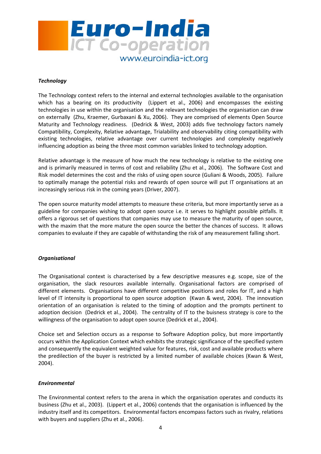

#### **Technology**

The Technology context refers to the internal and external technologies available to the organisation which has a bearing on its productivity (Lippert et al., 2006) and encompasses the existing technologies in use within the organisation and the relevant technologies the organisation can draw on externally (Zhu, Kraemer, Gurbaxani & Xu, 2006). They are comprised of elements Open Source Maturity and Technology readiness. (Dedrick & West, 2003) adds five technology factors namely Compatibility, Complexity, Relative advantage, Trialability and observability citing compatibility with existing technologies, relative advantage over current technologies and complexity negatively influencing adoption as being the three most common variables linked to technology adoption.

Relative advantage is the measure of how much the new technology is relative to the existing one and is primarily measured in terms of cost and reliability (Zhu et al., 2006). The Software Cost and Risk model determines the cost and the risks of using open source (Guliani & Woods, 2005). Failure to optimally manage the potential risks and rewards of open source will put IT organisations at an increasingly serious risk in the coming years (Driver, 2007).

The open source maturity model attempts to measure these criteria, but more importantly serve as a guideline for companies wishing to adopt open source i.e. it serves to highlight possible pitfalls. It offers a rigorous set of questions that companies may use to measure the maturity of open source, with the maxim that the more mature the open source the better the chances of success. It allows companies to evaluate if they are capable of withstanding the risk of any measurement falling short.

#### **Organisational**

The Organisational context is characterised by a few descriptive measures e.g. scope, size of the organisation, the slack resources available internally. Organisational factors are comprised of different elements. Organisations have different competitive positions and roles for IT, and a high level of IT intensity is proportional to open source adoption (Kwan & west, 2004). The innovation orientation of an organisation is related to the timing of adoption and the prompts pertinent to adoption decision (Dedrick et al., 2004). The centrality of IT to the buisness strategy is core to the willingness of the organisation to adopt open source (Dedrick et al., 2004).

Choice set and Selection occurs as a response to Software Adoption policy, but more importantly occurs within the Application Context which exhibits the strategic significance of the specified system and consequently the equivalent weighted value for features, risk, cost and available products where the predilection of the buyer is restricted by a limited number of available choices (Kwan & West, 2004).

#### Environmental

The Environmental context refers to the arena in which the organisation operates and conducts its business (Zhu et al., 2003). (Lippert et al., 2006) contends that the organisation is influenced by the industry itself and its competitors. Environmental factors encompass factors such as rivalry, relations with buyers and suppliers (Zhu et al., 2006).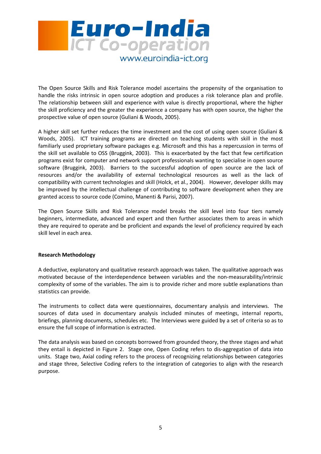

The Open Source Skills and Risk Tolerance model ascertains the propensity of the organisation to handle the risks intrinsic in open source adoption and produces a risk tolerance plan and profile. The relationship between skill and experience with value is directly proportional, where the higher the skill proficiency and the greater the experience a company has with open source, the higher the prospective value of open source (Guliani & Woods, 2005).

A higher skill set further reduces the time investment and the cost of using open source (Guliani & Woods, 2005). ICT training programs are directed on teaching students with skill in the most familiarly used proprietary software packages e.g. Microsoft and this has a repercussion in terms of the skill set available to OSS (Bruggink, 2003). This is exacerbated by the fact that few certification programs exist for computer and network support professionals wanting to specialise in open source software (Bruggink, 2003). Barriers to the successful adoption of open source are the lack of resources and/or the availability of external technological resources as well as the lack of compatibility with current technologies and skill (Holck, et al., 2004). However, developer skills may be improved by the intellectual challenge of contributing to software development when they are granted access to source code (Comino, Manenti & Parisi, 2007).

The Open Source Skills and Risk Tolerance model breaks the skill level into four tiers namely beginners, intermediate, advanced and expert and then further associates them to areas in which they are required to operate and be proficient and expands the level of proficiency required by each skill level in each area.

#### Research Methodology

A deductive, explanatory and qualitative research approach was taken. The qualitative approach was motivated because of the interdependence between variables and the non-measurability/intrinsic complexity of some of the variables. The aim is to provide richer and more subtle explanations than statistics can provide.

The instruments to collect data were questionnaires, documentary analysis and interviews. The sources of data used in documentary analysis included minutes of meetings, internal reports, briefings, planning documents, schedules etc. The Interviews were guided by a set of criteria so as to ensure the full scope of information is extracted.

The data analysis was based on concepts borrowed from grounded theory, the three stages and what they entail is depicted in Figure 2. Stage one, Open Coding refers to dis-aggregation of data into units. Stage two, Axial coding refers to the process of recognizing relationships between categories and stage three, Selective Coding refers to the integration of categories to align with the research purpose.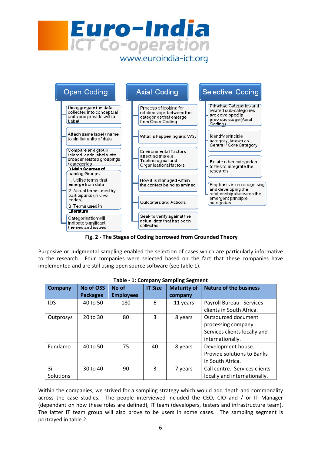



Fig. 2 - The Stages of Coding borrowed from Grounded Theory

Purposive or Judgmental sampling enabled the selection of cases which are particularly informative to the research. Four companies were selected based on the fact that these companies have implemented and are still using open source software (see table 1).

| <b>Company</b> | No of OSS       | No of            | <b>IT Size</b> | <b>Maturity of</b> | <b>Nature of the business</b> |
|----------------|-----------------|------------------|----------------|--------------------|-------------------------------|
|                | <b>Packages</b> | <b>Employees</b> |                | company            |                               |
| <b>IDS</b>     | 40 to 50        | 180              | 6              | 11 years           | Payroll Bureau. Services      |
|                |                 |                  |                |                    | clients in South Africa.      |
| Outprosys      | 20 to 30        | 80               | 3              | 8 years            | Outsourced document           |
|                |                 |                  |                |                    | processing company.           |
|                |                 |                  |                |                    | Services clients locally and  |
|                |                 |                  |                |                    | internationally.              |
| Fundamo        | 40 to 50        | 75               | 40             | 8 years            | Development house.            |
|                |                 |                  |                |                    | Provide solutions to Banks    |
|                |                 |                  |                |                    | in South Africa.              |
| 3i             | 30 to 40        | 90               | 3              | 7 years            | Call centre. Services clients |
| Solutions      |                 |                  |                |                    | locally and internationally.  |

|  | Table - 1: Company Sampling Segment |  |
|--|-------------------------------------|--|

Within the companies, we strived for a sampling strategy which would add depth and commonality across the case studies. The people interviewed included the CEO, CIO and / or IT Manager (dependant on how these roles are defined), IT team (developers, testers and infrastructure team). The latter IT team group will also prove to be users in some cases. The sampling segment is portrayed in table 2.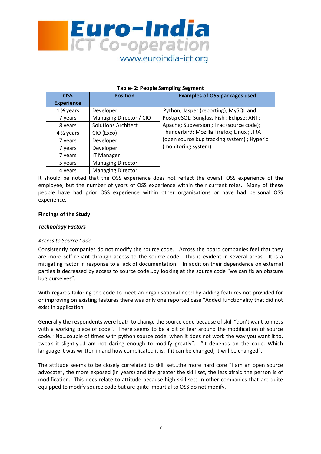

#### Table- 2: People Sampling Segment

| <b>OSS</b>              | <b>Position</b>            | <b>Examples of OSS packages used</b>       |
|-------------------------|----------------------------|--------------------------------------------|
| <b>Experience</b>       |                            |                                            |
| $1\%$ years             | Developer                  | Python; Jasper (reporting); MySQL and      |
| 7 years                 | Managing Director / CIO    | PostgreSQL; Sunglass Fish; Eclipse; ANT;   |
| 8 years                 | <b>Solutions Architect</b> | Apache; Subversion ; Trac (source code);   |
| 4 1/ <sub>2</sub> years | CIO (Exco)                 | Thunderbird; Mozilla Firefox; Linux ; JIRA |
| 7 years                 | Developer                  | (open source bug tracking system); Hyperic |
| 7 years                 | Developer                  | (monitoring system).                       |
| 7 years                 | <b>IT Manager</b>          |                                            |
| 5 years                 | <b>Managing Director</b>   |                                            |
| 4 years                 | <b>Managing Director</b>   |                                            |

It should be noted that the OSS experience does not reflect the overall OSS experience of the employee, but the number of years of OSS experience within their current roles. Many of these people have had prior OSS experience within other organisations or have had personal OSS experience.

#### Findings of the Study

#### Technology Factors

#### Access to Source Code

Consistently companies do not modify the source code. Across the board companies feel that they are more self reliant through access to the source code. This is evident in several areas. It is a mitigating factor in response to a lack of documentation. In addition their dependence on external parties is decreased by access to source code…by looking at the source code "we can fix an obscure bug ourselves".

With regards tailoring the code to meet an organisational need by adding features not provided for or improving on existing features there was only one reported case "Added functionality that did not exist in application.

Generally the respondents were loath to change the source code because of skill "don't want to mess with a working piece of code". There seems to be a bit of fear around the modification of source code. "No…couple of times with python source code, when it does not work the way you want it to, tweak it slightly….I am not daring enough to modify greatly". "It depends on the code. Which language it was written in and how complicated it is. If it can be changed, it will be changed".

The attitude seems to be closely correlated to skill set…the more hard core "I am an open source advocate", the more exposed (in years) and the greater the skill set, the less afraid the person is of modification. This does relate to attitude because high skill sets in other companies that are quite equipped to modify source code but are quite impartial to OSS do not modify.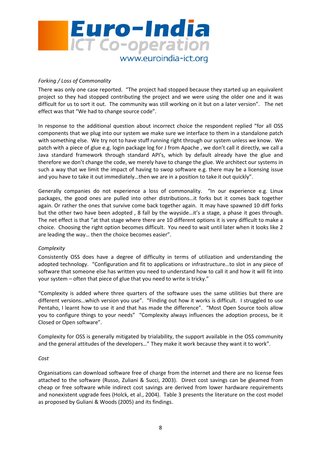

### Forking / Loss of Commonality

There was only one case reported. "The project had stopped because they started up an equivalent project so they had stopped contributing the project and we were using the older one and it was difficult for us to sort it out. The community was still working on it but on a later version". The net effect was that "We had to change source code".

In response to the additional question about incorrect choice the respondent replied "for all OSS components that we plug into our system we make sure we interface to them in a standalone patch with something else. We try not to have stuff running right through our system unless we know. We patch with a piece of glue e.g. login package log for J from Apache , we don't call it directly, we call a Java standard framework through standard API's, which by default already have the glue and therefore we don't change the code, we merely have to change the glue. We architect our systems in such a way that we limit the impact of having to swop software e.g. there may be a licensing issue and you have to take it out immediately…then we are in a position to take it out quickly".

Generally companies do not experience a loss of commonality. "In our experience e.g. Linux packages, the good ones are pulled into other distributions…it forks but it comes back together again. Or rather the ones that survive come back together again. It may have spawned 10 diff forks but the other two have been adopted , 8 fall by the wayside…it's a stage, a phase it goes through. The net effect is that "at that stage where there are 10 different options it is very difficult to make a choice. Choosing the right option becomes difficult. You need to wait until later when it looks like 2 are leading the way… then the choice becomes easier".

#### **Complexity**

Consistently OSS does have a degree of difficulty in terms of utilization and understanding the adopted technology. "Configuration and fit to applications or infrastructure…to slot in any piece of software that someone else has written you need to understand how to call it and how it will fit into your system – often that piece of glue that you need to write is tricky."

"Complexity is added where three quarters of the software uses the same utilities but there are different versions…which version you use". "Finding out how it works is difficult. I struggled to use Pentaho, I learnt how to use it and that has made the difference". "Most Open Source tools allow you to configure things to your needs" "Complexity always influences the adoption process, be it Closed or Open software".

Complexity for OSS is generally mitigated by trialability, the support available in the OSS community and the general attitudes of the developers…" They make it work because they want it to work".

#### Cost

Organisations can download software free of charge from the internet and there are no license fees attached to the software (Russo, Zuliani & Succi, 2003). Direct cost savings can be gleamed from cheap or free software while indirect cost savings are derived from lower hardware requirements and nonexistent upgrade fees (Holck, et al., 2004). Table 3 presents the literature on the cost model as proposed by Guliani & Woods (2005) and its findings.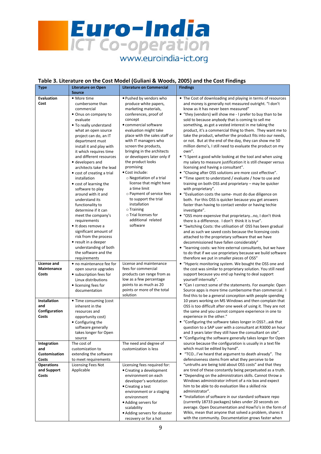

#### Table 3. Literature on the Cost Model (Guliani & Woods, 2005) and the Cost Findings

| <b>Type</b>          | <b>Literature on Open</b>  | <b>Literature on Commercial</b> | <b>Findings</b>                                               |
|----------------------|----------------------------|---------------------------------|---------------------------------------------------------------|
|                      | <b>Source</b>              |                                 |                                                               |
| <b>Evaluation</b>    | • More time                | . Pushed by vendors who         | • The Cost of downloading and playing in terms of resources   |
| Cost                 | cumbersome than            | produce white papers,           | and money is generally not measured outright. "I don't        |
|                      | commercial                 | marketing materials,            | know as it has never been measured"                           |
|                      | • Onus on company to       | conferences, proof of           | • "they (vendors) will show me - I prefer to buy than to be   |
|                      | evaluate                   | concept                         | sold to because anybody that is coming to sell me             |
|                      | • To really understand     | · commercial software           | something, as got a vested interest in me taking the          |
|                      | what an open source        | evaluation might take           | product, it's a commercial thing to them. They want me to     |
|                      | project can do, an IT      | place with the sales staff or   | take the product, whether the product fits into our needs,    |
|                      | department must            | with IT managers who            | or not. But at the end of the day, they can show me 50        |
|                      | install it and play with   | screen the products,            | million demo's, I still need to evaluate the product on my    |
|                      | it which requires time     | bringing in the architects      | own".                                                         |
|                      | and different resources    | or developers later only if     | • "I Spent a good while looking at the tool and when using    |
|                      | • developers and           | the product looks               | my salary to measure justification it is still cheaper versus |
|                      | architects take the lead   | promising                       | licensing and having a consultant".                           |
|                      | • cost of creating a trial | • Cost include:                 | • "Chasing after OSS solutions are more cost effective".      |
|                      | installation               | ○ Negotiation of a trial        | • "Time spent to understand / evaluate / how to use and       |
|                      | • cost of learning the     | license that might have         | training on both OSS and proprietary - may be quicker         |
|                      | software to play           | a time limit                    | with proprietary".                                            |
|                      | around with it and         | o Payment of service fees       | • "Evaluation costs the same- must do due diligence on        |
|                      | understand its             | to support the trial            | both. For this OSS is quicker because you get answers         |
|                      | functionality to           | installation                    | faster than having to contact vendor or having techie         |
|                      | determine if it can        | $\circ$ Training                | investigate".                                                 |
|                      | meet the company's         | o Trial licenses for            | • "OSS more expensive that proprietaryno, I don't think       |
|                      | requirements               | additional related              | there is a difference. I don't think it is true".             |
|                      | • It does remove a         | software                        | • "Switching Costs: the utilisation of OSS has been gradual   |
|                      | significant amount of      |                                 | and as such we saved costs because the licensing costs        |
|                      | risk from the process      |                                 | attached to the proprietary software that we have             |
|                      | • result in a deeper       |                                 | decommissioned have fallen considerably"                      |
|                      | understanding of both      |                                 | • "learning costs: we hire external consultants, but we have  |
|                      | the software and the       |                                 | to do that if we use proprietary because we build software    |
|                      | requirements               |                                 | therefore we put in smaller pieces of OSS"                    |
| License and          | • no maintenance fee for   | License and maintenance         | • "Hyperic monitoring system. We bought the OSS one and       |
| Maintenance          | open source upgrades       | fees for commercial             | the cost was similar to proprietary solution. You still need  |
| Costs                | • subscription fees for    | products can range from as      | support because you end up having to deal support             |
|                      | Linux distributions        | low as a few percentage         | yourself internally".                                         |
|                      | • licensing fees for       | points to as much as 20         | • "Can I correct some of the statements. For example: Open    |
|                      | documentation              | points or more of the total     | Source apps is more time cumbersome than commercial. I        |
|                      |                            | solution                        | find this to be a general conception with people spending     |
| Installation         | • Time consuming (cost     |                                 | 10 years working on MS Windows and then complain that         |
| and                  | inherent in the            |                                 | OSS is too difficult after one week of using it. They are not |
| Configuration        | resources and              |                                 | the same and you cannot compare experience in one to          |
| Costs                | opportunity cost)          |                                 | experience in the other."                                     |
|                      | • Configuring the          |                                 | • "Configuring the software takes longer in OSS?ask that      |
|                      | software generally         |                                 | question to a SAP user with a consultant at R3000 an hour     |
|                      | takes longer for Open      |                                 | and 3 years later they still have the consultant on site".    |
|                      | source                     |                                 | • "Configuring the software generally takes longer for Open   |
| Integration          | The cost of                | The need and degree of          | source because the configuration is usually in a text file    |
| and                  | customization to           | customization is less           | which must be edited by hand".                                |
| <b>Customisation</b> | extending the software     |                                 | • "TCOI've heard that argument to death already". The         |
| Costs                | to meet requirements       |                                 | defensiveness stems from what they perceive to be             |
| <b>Operations</b>    | Licensing Fees Not         | Licensing fees required for:    | "untruths are being told about OSS costs" and that they       |
| and Support          | Applicable                 | • Creating a development        | are tired of these constantly being perpetuated as a truth.   |
| Costs                |                            | environment on each             | • "Depending on the administrators skills. Cannot throw a     |
|                      |                            | developer's workstation         | Windows administrator infront of a nix box and expect         |
|                      |                            | • Creating a test               | him to be able to do evaluation like a skilled nix            |
|                      |                            | environment or a staging        | administrator".                                               |
|                      |                            | environment                     | • "Installation of software in our standard software repo     |
|                      |                            | • Adding servers for            | (currently 18733 packages) takes under 20 seconds on          |
|                      |                            | scalability                     | average. Open Documentation and HowTo's in the form of        |
|                      |                            | • Adding servers for disaster   | Wikis, mean that anyone that solved a problem, shares it      |
|                      |                            | recovery or for a hot           | with the community. Documentation grows faster when           |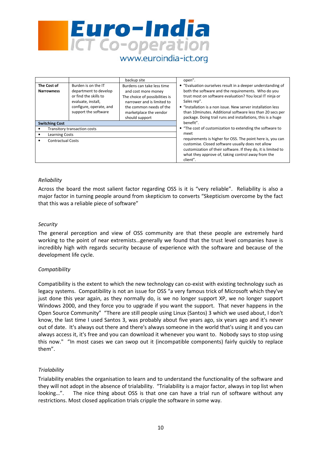

#### backup site open". • "Evaluation ourselves result in a deeper understanding of both the software and the requirements. Who do you trust most on software evaluation? You local IT ninja or Sales rep". • "Installation is a non issue. New server installation less than 10minutes. Additional software less than 20 secs per package. Doing trail runs and installations, this is a huge benefit". • "The cost of customization to extending the software to meet requirements is higher for OSS. The point here is, you can customise. Closed software usually does not allow customization of their software. If they do, it is limited to what they approve of, taking control away from the client". The Cost of Narrowness Burden is on the IT department to develop or find the skills to evaluate, install, configure, operate, and support the software Burdens can take less time and cost more money The choice of possibilities is narrower and is limited to the common needs of the marketplace the vendor should support Switching Cost Transitory transaction costs • Learning Costs • Contractual Costs

#### Reliability

Across the board the most salient factor regarding OSS is it is "very reliable". Reliability is also a major factor in turning people around from skepticism to converts "Skepticism overcome by the fact that this was a reliable piece of software"

#### **Security**

The general perception and view of OSS community are that these people are extremely hard working to the point of near extremists…generally we found that the trust level companies have is incredibly high with regards security because of experience with the software and because of the development life cycle.

#### **Compatibility**

Compatibility is the extent to which the new technology can co-exist with existing technology such as legacy systems. Compatibility is not an issue for OSS "a very famous trick of Microsoft which they've just done this year again, as they normally do, is we no longer support XP, we no longer support Windows 2000, and they force you to upgrade if you want the support. That never happens in the Open Source Community" "There are still people using Linux (Santos) 3 which we used about, I don't know, the last time I used Santos 3, was probably about five years ago, six years ago and it's never out of date. It's always out there and there's always someone in the world that's using it and you can always access it, it's free and you can download it whenever you want to. Nobody says to stop using this now." "In most cases we can swop out it (incompatible components) fairly quickly to replace them".

#### **Trialability**

Trialability enables the organisation to learn and to understand the functionality of the software and they will not adopt in the absence of trialability. "Trialability is a major factor, always in top list when looking…". The nice thing about OSS is that one can have a trial run of software without any restrictions. Most closed application trials cripple the software in some way.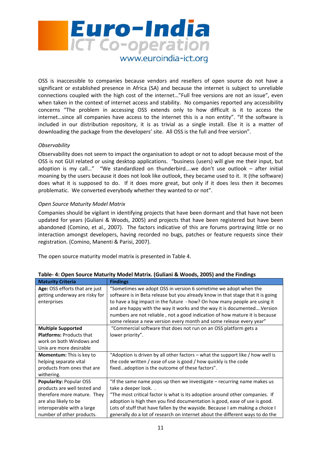

OSS is inaccessible to companies because vendors and resellers of open source do not have a significant or established presence in Africa (SA) and because the internet is subject to unreliable connections coupled with the high cost of the internet…"Full free versions are not an issue", even when taken in the context of internet access and stability. No companies reported any accessibility concerns "The problem in accessing OSS extends only to how difficult is it to access the internet…since all companies have access to the internet this is a non entity". "If the software is included in our distribution repository, it is as trivial as a single install. Else it is a matter of downloading the package from the developers' site. All OSS is the full and free version".

#### **Observability**

Observability does not seem to impact the organisation to adopt or not to adopt because most of the OSS is not GUI related or using desktop applications. "business (users) will give me their input, but adoption is my call…" "We standardized on thunderbird….we don't use outlook – after initial moaning by the users because it does not look like outlook, they became used to it. It (the software) does what it is supposed to do. If it does more great, but only if it does less then it becomes problematic. We converted everybody whether they wanted to or not".

#### Open Source Maturity Model Matrix

Companies should be vigilant in identifying projects that have been dormant and that have not been updated for years (Guliani & Woods, 2005) and projects that have been registered but have been abandoned (Comino, et al., 2007). The factors indicative of this are forums portraying little or no interaction amongst developers, having recorded no bugs, patches or feature requests since their registration. (Comino, Manenti & Parisi, 2007).

The open source maturity model matrix is presented in Table 4.

| <b>Maturity Criteria</b>        | <b>Findings</b>                                                                 |
|---------------------------------|---------------------------------------------------------------------------------|
| Age: OSS efforts that are just  | "Sometimes we adopt OSS in version 6 sometime we adopt when the                 |
| getting underway are risky for  | software is in Beta release but you already know in that stage that it is going |
| enterprises                     | to have a big impact in the future - how? On how many people are using it       |
|                                 | and are happy with the way it works and the way it is documented Version        |
|                                 | numbers are not reliable, not a good indication of how mature it is because     |
|                                 | some release a new version every month and some release every year"             |
| <b>Multiple Supported</b>       | "Commercial software that does not run on an OSS platform gets a                |
| <b>Platforms: Products that</b> | lower priority".                                                                |
| work on both Windows and        |                                                                                 |
| Unix are more desirable         |                                                                                 |
| <b>Momentum:</b> This is key to | "Adoption is driven by all other factors – what the support like / how well is  |
| helping separate vital          | the code written / ease of use is good / how quickly is the code                |
| products from ones that are     | fixedadoption is the outcome of these factors".                                 |
| withering.                      |                                                                                 |
| <b>Popularity: Popular OSS</b>  | "If the same name pops up then we investigate – recurring name makes us         |
| products are well tested and    | take a deeper look                                                              |
| therefore more mature. They     | "The most critical factor is what is its adoption around other companies. If    |
| are also likely to be           | adoption is high then you find documentation is good, ease of use is good.      |
| interoperable with a large      | Lots of stuff that have fallen by the wayside. Because I am making a choice I   |
| number of other products.       | generally do a lot of research on internet about the different ways to do the   |

|  | Table- 4: Open Source Maturity Model Matrix. (Guliani & Woods, 2005) and the Findings |  |  |  |
|--|---------------------------------------------------------------------------------------|--|--|--|
|--|---------------------------------------------------------------------------------------|--|--|--|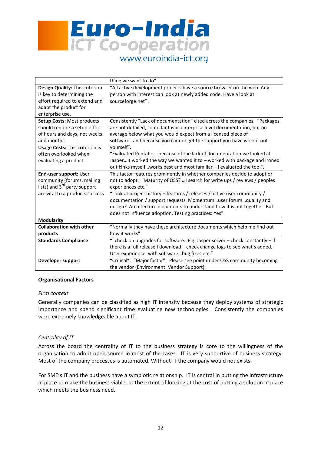

|                                          | thing we want to do".                                                         |
|------------------------------------------|-------------------------------------------------------------------------------|
| Design Quality: This criterion           | "All active development projects have a source browser on the web. Any        |
| is key to determining the                | person with interest can look at newly added code. Have a look at             |
| effort required to extend and            | sourceforge.net".                                                             |
| adapt the product for                    |                                                                               |
| enterprise use.                          |                                                                               |
| Setup Costs: Most products               | Consistently "Lack of documentation" cited across the companies. "Packages    |
| should require a setup effort            | are not detailed, some fantastic enterprise level documentation, but on       |
| of hours and days, not weeks             | average below what you would expect from a licensed piece of                  |
| and months                               | softwareand because you cannot get the support you have work it out           |
| <b>Usage Costs: This criterion is</b>    | yourself".                                                                    |
| often overlooked when                    | "Evaluated Pentahobecause of the lack of documentation we looked at           |
| evaluating a product                     | Jasperit worked the way we wanted it to - worked with package and ironed      |
|                                          | out kinks myselfworks best and most familiar - I evaluated the tool".         |
| End-user support: User                   | This factor features prominently in whether companies decide to adopt or      |
| community (forums, mailing               | not to adopt. "Maturity of OSS?  I search for write ups / reviews / peoples   |
| lists) and 3 <sup>rd</sup> party support | experiences etc."                                                             |
| are vital to a products success          | "Look at project history - features / releases / active user community /      |
|                                          | documentation / support requests. Momentumuser forumquality and               |
|                                          | design? Architecture documents to understand how it is put together. But      |
|                                          | does not influence adoption. Testing practices: Yes".                         |
| <b>Modularity</b>                        |                                                                               |
| <b>Collaboration with other</b>          | "Normally they have these architecture documents which help me find out       |
| products                                 | how it works"                                                                 |
| <b>Standards Compliance</b>              | "I check on upgrades for software. E.g. Jasper server - check constantly - if |
|                                          | there is a full release I download - check change logs to see what's added,   |
|                                          | User experience with softwarebug fixes etc."                                  |
| Developer support                        | "Critical". "Major factor". Please see point under OSS community becoming     |
|                                          | the vendor (Environment: Vendor Support).                                     |

#### Organisational Factors

#### Firm context

Generally companies can be classified as high IT intensity because they deploy systems of strategic importance and spend significant time evaluating new technologies. Consistently the companies were extremely knowledgeable about IT.

#### Centrality of IT

Across the board the centrality of IT to the business strategy is core to the willingness of the organisation to adopt open source in most of the cases. IT is very supportive of business strategy. Most of the company processes is automated. Without IT the company would not exists.

For SME's IT and the business have a symbiotic relationship. IT is central in putting the infrastructure in place to make the business viable, to the extent of looking at the cost of putting a solution in place which meets the business need.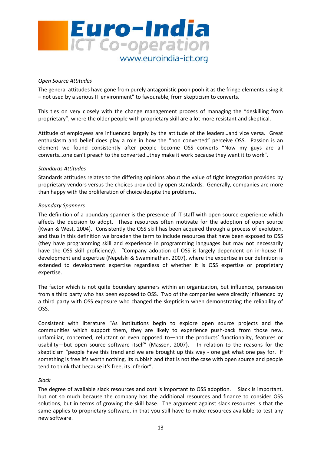

#### Open Source Attitudes

The general attitudes have gone from purely antagonistic pooh pooh it as the fringe elements using it – not used by a serious IT environment" to favourable, from skepticism to converts.

This ties on very closely with the change management process of managing the "deskilling from proprietary", where the older people with proprietary skill are a lot more resistant and skeptical.

Attitude of employees are influenced largely by the attitude of the leaders…and vice versa. Great enthusiasm and belief does play a role in how the "non converted" perceive OSS. Passion is an element we found consistently after people become OSS converts "Now my guys are all converts…one can't preach to the converted…they make it work because they want it to work".

#### Standards Attitudes

Standards attitudes relates to the differing opinions about the value of tight integration provided by proprietary vendors versus the choices provided by open standards. Generally, companies are more than happy with the proliferation of choice despite the problems.

#### Boundary Spanners

The definition of a boundary spanner is the presence of IT staff with open source experience which affects the decision to adopt. These resources often motivate for the adoption of open source (Kwan & West, 2004). Consistently the OSS skill has been acquired through a process of evolution, and thus in this definition we broaden the term to include resources that have been exposed to OSS (they have programming skill and experience in programming languages but may not necessarily have the OSS skill proficiency). "Company adoption of OSS is largely dependent on in-house IT development and expertise (Nepelski & Swaminathan, 2007), where the expertise in our definition is extended to development expertise regardless of whether it is OSS expertise or proprietary expertise.

The factor which is not quite boundary spanners within an organization, but influence, persuasion from a third party who has been exposed to OSS. Two of the companies were directly influenced by a third party with OSS exposure who changed the skepticism when demonstrating the reliability of OSS.

Consistent with literature "As institutions begin to explore open source projects and the communities which support them, they are likely to experience push-back from those new, unfamiliar, concerned, reluctant or even opposed to—not the products' functionality, features or usability—but open source software itself" (Masson, 2007). In relation to the reasons for the skepticism "people have this trend and we are brought up this way - one get what one pay for. If something is free it's worth nothing, its rubbish and that is not the case with open source and people tend to think that because it's free, its inferior".

#### Slack

The degree of available slack resources and cost is important to OSS adoption. Slack is important, but not so much because the company has the additional resources and finance to consider OSS solutions, but in terms of growing the skill base. The argument against slack resources is that the same applies to proprietary software, in that you still have to make resources available to test any new software.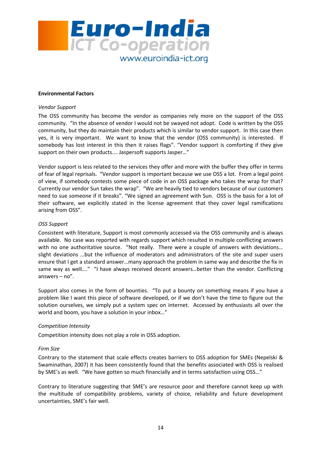

#### Environmental Factors

#### Vendor Support

The OSS community has become the vendor as companies rely more on the support of the OSS community. "In the absence of vendor I would not be swayed not adopt. Code is written by the OSS community, but they do maintain their products which is similar to vendor support. In this case then yes, it is very important. We want to know that the vendor (OSS community) is interested. If somebody has lost interest in this then it raises flags". "Vendor support is comforting if they give support on their own products.… Jaspersoft supports Jasper…"

Vendor support is less related to the services they offer and more with the buffer they offer in terms of fear of legal reprisals. "Vendor support is important because we use OSS a lot. From a legal point of view, if somebody contests some piece of code in an OSS package who takes the wrap for that? Currently our vendor Sun takes the wrap". "We are heavily tied to vendors because of our customers need to sue someone if it breaks". "We signed an agreement with Sun. OSS is the basis for a lot of their software, we explicitly stated in the license agreement that they cover legal ramifications arising from OSS".

#### OSS Support

Consistent with literature, Support is most commonly accessed via the OSS community and is always available. No case was reported with regards support which resulted in multiple conflicting answers with no one authoritative source. "Not really. There were a couple of answers with deviations... slight deviations …but the influence of moderators and administrators of the site and super users ensure that I get a standard answer…many approach the problem in same way and describe the fix in same way as well...." "I have always received decent answers...better than the vendor. Conflicting answers – no".

Support also comes in the form of bounties. "To put a bounty on something means if you have a problem like I want this piece of software developed, or if we don't have the time to figure out the solution ourselves, we simply put a system spec on internet. Accessed by enthusiasts all over the world and boom, you have a solution in your inbox…"

#### Competition Intensity

Competition intensity does not play a role in OSS adoption.

#### Firm Size

Contrary to the statement that scale effects creates barriers to OSS adoption for SMEs (Nepelski & Swaminathan, 2007) it has been consistently found that the benefits associated with OSS is realised by SME's as well. "We have gotten so much financially and in terms satisfaction using OSS…"

Contrary to literature suggesting that SME's are resource poor and therefore cannot keep up with the multitude of compatibility problems, variety of choice, reliability and future development uncertainties, SME's fair well.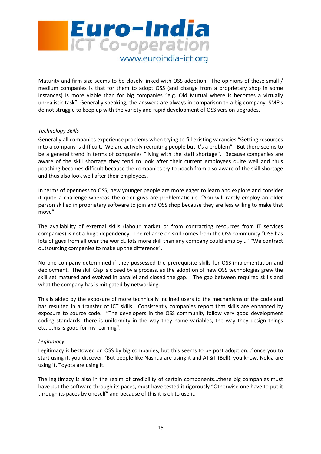

Maturity and firm size seems to be closely linked with OSS adoption. The opinions of these small / medium companies is that for them to adopt OSS (and change from a proprietary shop in some instances) is more viable than for big companies "e.g. Old Mutual where is becomes a virtually unrealistic task". Generally speaking, the answers are always in comparison to a big company. SME's do not struggle to keep up with the variety and rapid development of OSS version upgrades.

#### Technology Skills

Generally all companies experience problems when trying to fill existing vacancies "Getting resources into a company is difficult. We are actively recruiting people but it's a problem". But there seems to be a general trend in terms of companies "living with the staff shortage". Because companies are aware of the skill shortage they tend to look after their current employees quite well and thus poaching becomes difficult because the companies try to poach from also aware of the skill shortage and thus also look well after their employees.

In terms of openness to OSS, new younger people are more eager to learn and explore and consider it quite a challenge whereas the older guys are problematic i.e. "You will rarely employ an older person skilled in proprietary software to join and OSS shop because they are less willing to make that move".

The availability of external skills (labour market or from contracting resources from IT services companies) is not a huge dependency. The reliance on skill comes from the OSS community "OSS has lots of guys from all over the world…lots more skill than any company could employ…" "We contract outsourcing companies to make up the difference".

No one company determined if they possessed the prerequisite skills for OSS implementation and deployment. The skill Gap is closed by a process, as the adoption of new OSS technologies grew the skill set matured and evolved in parallel and closed the gap. The gap between required skills and what the company has is mitigated by networking.

This is aided by the exposure of more technically inclined users to the mechanisms of the code and has resulted in a transfer of ICT skills. Consistently companies report that skills are enhanced by exposure to source code. "The developers in the OSS community follow very good development coding standards, there is uniformity in the way they name variables, the way they design things etc.…this is good for my learning".

#### Legitimacy

Legitimacy is bestowed on OSS by big companies, but this seems to be post adoption..."once you to start using it, you discover, 'But people like Nashua are using it and AT&T (Bell), you know, Nokia are using it, Toyota are using it.

The legitimacy is also in the realm of credibility of certain components…these big companies must have put the software through its paces, must have tested it rigorously "Otherwise one have to put it through its paces by oneself" and because of this it is ok to use it.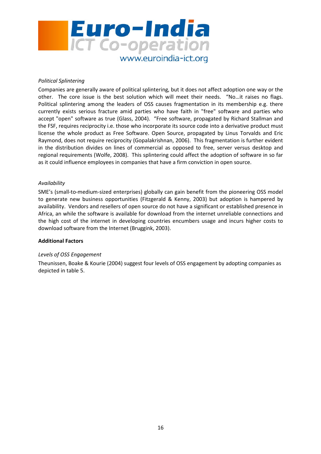

#### Political Splintering

Companies are generally aware of political splintering, but it does not affect adoption one way or the other. The core issue is the best solution which will meet their needs. "No…it raises no flags. Political splintering among the leaders of OSS causes fragmentation in its membership e.g. there currently exists serious fracture amid parties who have faith in "free" software and parties who accept "open" software as true (Glass, 2004). "Free software, propagated by Richard Stallman and the FSF, requires reciprocity i.e. those who incorporate its source code into a derivative product must license the whole product as Free Software. Open Source, propagated by Linus Torvalds and Eric Raymond, does not require reciprocity (Gopalakrishnan, 2006). This fragmentation is further evident in the distribution divides on lines of commercial as opposed to free, server versus desktop and regional requirements (Wolfe, 2008). This splintering could affect the adoption of software in so far as it could influence employees in companies that have a firm conviction in open source.

#### Availability

SME's (small-to-medium-sized enterprises) globally can gain benefit from the pioneering OSS model to generate new business opportunities (Fitzgerald & Kenny, 2003) but adoption is hampered by availability. Vendors and resellers of open source do not have a significant or established presence in Africa, an while the software is available for download from the internet unreliable connections and the high cost of the internet in developing countries encumbers usage and incurs higher costs to download software from the Internet (Bruggink, 2003).

#### Additional Factors

#### Levels of OSS Engagement

Theunissen, Boake & Kourie (2004) suggest four levels of OSS engagement by adopting companies as depicted in table 5.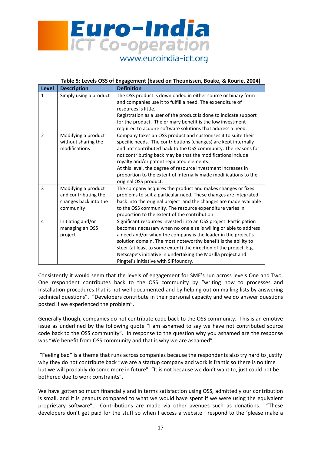

|                | Table 5: Levels OSS of Engagement (based on Theunissen, Boake, & Kourie, 2004)    |                                                                                                                                                                                                                                                                                                                                                                                                                                                                              |  |  |
|----------------|-----------------------------------------------------------------------------------|------------------------------------------------------------------------------------------------------------------------------------------------------------------------------------------------------------------------------------------------------------------------------------------------------------------------------------------------------------------------------------------------------------------------------------------------------------------------------|--|--|
| <b>Level</b>   | <b>Description</b>                                                                | <b>Definition</b>                                                                                                                                                                                                                                                                                                                                                                                                                                                            |  |  |
| 1              | Simply using a product                                                            | The OSS product is downloaded in either source or binary form<br>and companies use it to fulfill a need. The expenditure of<br>resources is little.<br>Registration as a user of the product is done to indicate support<br>for the product. The primary benefit is the low investment<br>required to acquire software solutions that address a need.                                                                                                                        |  |  |
| $\overline{2}$ | Modifying a product<br>without sharing the<br>modifications                       | Company takes an OSS product and customises it to suite their<br>specific needs. The contributions (changes) are kept internally<br>and not contributed back to the OSS community. The reasons for<br>not contributing back may be that the modifications include<br>royalty and/or patent regulated elements.<br>At this level, the degree of resource investment increases in<br>proportion to the extent of internally made modifications to the<br>original OSS product. |  |  |
| 3              | Modifying a product<br>and contributing the<br>changes back into the<br>community | The company acquires the product and makes changes or fixes<br>problems to suit a particular need. These changes are integrated<br>back into the original project and the changes are made available<br>to the OSS community. The resource expenditure varies in<br>proportion to the extent of the contribution.                                                                                                                                                            |  |  |
| 4              | Initiating and/or<br>managing an OSS<br>project                                   | Significant resources invested into an OSS project. Participation<br>becomes necessary when no one else is willing or able to address<br>a need and/or when the company is the leader in the project's<br>solution domain. The most noteworthy benefit is the ability to<br>steer (at least to some extent) the direction of the project. E.g.<br>Netscape's initiative in undertaking the Mozilla project and<br>Pingtel's initiative with SIPfoundry.                      |  |  |

Consistently it would seem that the levels of engagement for SME's run across levels One and Two. One respondent contributes back to the OSS community by "writing how to processes and installation procedures that is not well documented and by helping out on mailing lists by answering technical questions". "Developers contribute in their personal capacity and we do answer questions posted if we experienced the problem".

Generally though, companies do not contribute code back to the OSS community. This is an emotive issue as underlined by the following quote "I am ashamed to say we have not contributed source code back to the OSS community". In response to the question why you ashamed are the response was "We benefit from OSS community and that is why we are ashamed".

 "Feeling bad" is a theme that runs across companies because the respondents also try hard to justify why they do not contribute back "we are a startup company and work is frantic so there is no time but we will probably do some more in future". "It is not because we don't want to, just could not be bothered due to work constraints".

We have gotten so much financially and in terms satisfaction using OSS, admittedly our contribution is small, and it is peanuts compared to what we would have spent if we were using the equivalent proprietary software". Contributions are made via other avenues such as donations. "These developers don't get paid for the stuff so when I access a website I respond to the 'please make a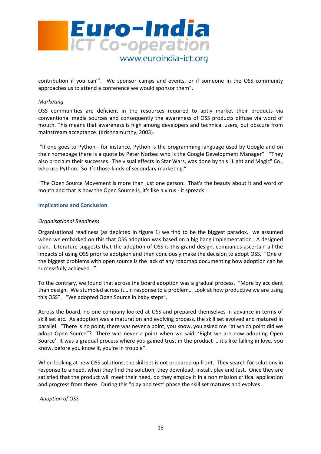

contribution if you can'". We sponsor camps and events, or if someone in the OSS community approaches us to attend a conference we would sponsor them".

#### Marketing

OSS communities are deficient in the resources required to aptly market their products via conventional media sources and consequently the awareness of OSS products diffuse via word of mouth. This means that awareness is high among developers and technical users, but obscure from mainstream acceptance. (Krishnamurthy, 2003).

 "If one goes to Python - for instance, Python is the programming language used by Google and on their homepage there is a quote by Peter Norbec who is the Google Development Manager". "They also proclaim their successes. The visual effects in Star Wars, was done by this "Light and Magic" Co., who use Python. So it's those kinds of secondary marketing."

"The Open Source Movement is more than just one person. That's the beauty about it and word of mouth and that is how the Open Source is, it's like a virus - it spreads

#### Implications and Conclusion

#### Organisational Readiness

Organisational readiness (as depicted in figure 1) we find to be the biggest paradox. we assumed when we embarked on this that OSS adoption was based on a big bang implementation. A designed plan. Literature suggests that the adoption of OSS is this grand design, companies ascertain all the impacts of using OSS prior to adotpion and then conciously make the decision to adopt OSS. "One of the biggest problems with open source is the lack of any roadmap documenting how adoption can be successfully achieved…"

To the contrary, we found that across the board adoption was a gradual process. "More by accident than design. We stumbled across it…in response to a problem… Look at how productive we are using this OSS". "We adopted Open Source in baby steps".

Across the board, no one company looked at OSS and prepared themselves in advance in terms of skill set etc. As adoption was a maturation and evolving process, the skill set evolved and matured in parallel. "There is no point, there was never a point, you know, you asked me "at which point did we adopt Open Source"? There was never a point when we said, 'Right we are now adopting Open Source'. It was a gradual process where you gained trust in the product … it's like falling in love, you know, before you know it, you're in trouble".

When looking at new OSS solutions, the skill set is not prepared up front. They search for solutions in response to a need, when they find the solution, they download, install, play and test. Once they are satisfied that the product will meet their need, do they employ it in a non mission critical application and progress from there. During this "play and test" phase the skill set matures and evolves.

Adoption of OSS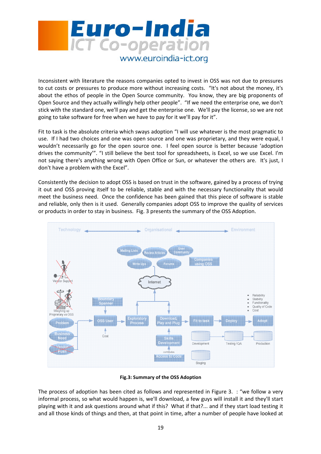

Inconsistent with literature the reasons companies opted to invest in OSS was not due to pressures to cut costs or pressures to produce more without increasing costs. "It's not about the money, it's about the ethos of people in the Open Source community. You know, they are big proponents of Open Source and they actually willingly help other people". "If we need the enterprise one, we don't stick with the standard one, we'll pay and get the enterprise one. We'll pay the license, so we are not going to take software for free when we have to pay for it we'll pay for it".

Fit to task is the absolute criteria which sways adoption "I will use whatever is the most pragmatic to use. If I had two choices and one was open source and one was proprietary, and they were equal, I wouldn't necessarily go for the open source one. I feel open source is better because 'adoption drives the community'". "I still believe the best tool for spreadsheets, is Excel, so we use Excel. I'm not saying there's anything wrong with Open Office or Sun, or whatever the others are. It's just, I don't have a problem with the Excel".

Consistently the decision to adopt OSS is based on trust in the software, gained by a process of trying it out and OSS proving itself to be reliable, stable and with the necessary functionality that would meet the business need. Once the confidence has been gained that this piece of software is stable and reliable, only then is it used. Generally companies adopt OSS to improve the quality of services or products in order to stay in business. Fig. 3 presents the summary of the OSS Adoption.



#### Fig.3: Summary of the OSS Adoption

The process of adoption has been cited as follows and represented in Figure 3. : "we follow a very informal process, so what would happen is, we'll download, a few guys will install it and they'll start playing with it and ask questions around what if this? What if that?... and if they start load testing it and all those kinds of things and then, at that point in time, after a number of people have looked at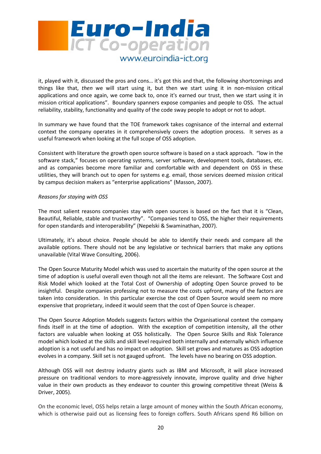

it, played with it, discussed the pros and cons… it's got this and that, the following shortcomings and things like that, then we will start using it, but then we start using it in non-mission critical applications and once again, we come back to, once it's earned our trust, then we start using it in mission critical applications". Boundary spanners expose companies and people to OSS. The actual reliability, stability, functionality and quality of the code sway people to adopt or not to adopt.

In summary we have found that the TOE framework takes cognisance of the internal and external context the company operates in it comprehensively covers the adoption process. It serves as a useful framework when looking at the full scope of OSS adoption.

Consistent with literature the growth open source software is based on a stack approach. "low in the software stack," focuses on operating systems, server software, development tools, databases, etc. and as companies become more familiar and comfortable with and dependent on OSS in these utilities, they will branch out to open for systems e.g. email, those services deemed mission critical by campus decision makers as "enterprise applications" (Masson, 2007).

#### Reasons for staying with OSS

The most salient reasons companies stay with open sources is based on the fact that it is "Clean, Beautiful, Reliable, stable and trustworthy". "Companies tend to OSS, the higher their requirements for open standards and interoperability" (Nepelski & Swaminathan, 2007).

Ultimately, it's about choice. People should be able to identify their needs and compare all the available options. There should not be any legislative or technical barriers that make any options unavailable (Vital Wave Consulting, 2006).

The Open Source Maturity Model which was used to ascertain the maturity of the open source at the time of adoption is useful overall even though not all the items are relevant. The Software Cost and Risk Model which looked at the Total Cost of Ownership of adopting Open Source proved to be insightful. Despite companies professing not to measure the costs upfront, many of the factors are taken into consideration. In this particular exercise the cost of Open Source would seem no more expensive that proprietary, indeed it would seem that the cost of Open Source is cheaper.

The Open Source Adoption Models suggests factors within the Organisational context the company finds itself in at the time of adoption. With the exception of competition intensity, all the other factors are valuable when looking at OSS holistically. The Open Source Skills and Risk Tolerance model which looked at the skills and skill level required both internally and externally which influence adoption is a not useful and has no impact on adoption. Skill set grows and matures as OSS adoption evolves in a company. Skill set is not gauged upfront. The levels have no bearing on OSS adoption.

Although OSS will not destroy industry giants such as IBM and Microsoft, it will place increased pressure on traditional vendors to more-aggressively innovate, improve quality and drive higher value in their own products as they endeavor to counter this growing competitive threat (Weiss & Driver, 2005).

On the economic level, OSS helps retain a large amount of money within the South African economy, which is otherwise paid out as licensing fees to foreign coffers. South Africans spend R6 billion on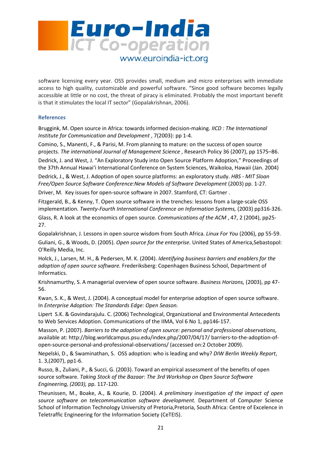

software licensing every year. OSS provides small, medium and micro enterprises with immediate access to high quality, customizable and powerful software. "Since good software becomes legally accessible at little or no cost, the threat of piracy is eliminated. Probably the most important benefit is that it stimulates the local IT sector" (Gopalakrishnan, 2006).

#### References

Bruggink, M. Open source in Africa: towards informed decision-making. IICD : The International Institute for Communication and Development , 7(2003): pp 1-4.

Comino, S., Manenti, F., & Parisi, M. From planning to mature: on the success of open source projects. The international Journal of Management Science , Research Policy 36 (2007), pp 1575–86.

Dedrick, J. and West, J. "An Exploratory Study into Open Source Platform Adoption," Proceedings of the 37th Annual Hawai'i International Conference on System Sciences, Waikoloa, Hawaii (Jan. 2004)

Dedrick, J., & West, J. Adoption of open source platforms: an exploratory study. HBS - MIT Sloan Free/Open Source Software Conference:New Models of Software Development (2003) pp. 1-27.

Driver, M. Key issues for open-source software in 2007. Stamford, CT: Gartner .

Fitzgerald, B., & Kenny, T. Open source software in the trenches: lessons from a large-scale OSS implementation. Twenty-Fourth International Conference on Information Systems, (2003) pp316-326. Glass, R. A look at the economics of open source. Communications of the ACM , 47, 2 (2004), pp25- 27.

Gopalakrishnan, J. Lessons in open source wisdom from South Africa. Linux For You (2006), pp 55-59. Guliani, G., & Woods, D. (2005). Open source for the enterprise. United States of America,Sebastopol: O'Reilly Media, Inc.

Holck, J., Larsen, M. H., & Pedersen, M. K. (2004). Identifying business barriers and enablers for the adoption of open source software. Frederiksberg: Copenhagen Business School, Department of Informatics.

Krishnamurthy, S. A managerial overview of open source software. Business Horizons, (2003), pp 47- 56.

Kwan, S. K., & West, J. (2004). A conceptual model for enterprise adoption of open source software. In Enterprise Adoption: The Standards Edge: Open Season.

Lipert S.K. & Govindarajulu. C. (2006) Technological, Organizational and Environmental Antecedents to Web Services Adoption. Communications of the IIMA, Vol 6 No 1, pp146-157.

Masson, P. (2007). Barriers to the adoption of open source: personal and professional observations, available at: http://blog.worldcampus.psu.edu/index.php/2007/04/17/ barriers-to-the-adoption-ofopen-source-personal-and-professional-observations/ (accessed on:2 October 2009).

Nepelski, D., & Swaminathan, S. OSS adoption: who is leading and why? DIW Berlin Weekly Report, 1. 3,(2007), pp1-6.

Russo, B., Zuliani, P., & Succi, G. (2003). Toward an empirical assessment of the benefits of open source software. Taking Stock of the Bazaar: The 3rd Workshop on Open Source Software Engineering, (2003), pp. 117-120.

Theunissen, M., Boake, A., & Kourie, D. (2004). A preliminary investigation of the impact of open source software on telecommunication software development. Department of Computer Science School of Information Technology University of Pretoria, Pretoria, South Africa: Centre of Excelence in Teletraffic Engineering for the Information Society (CeTEIS).